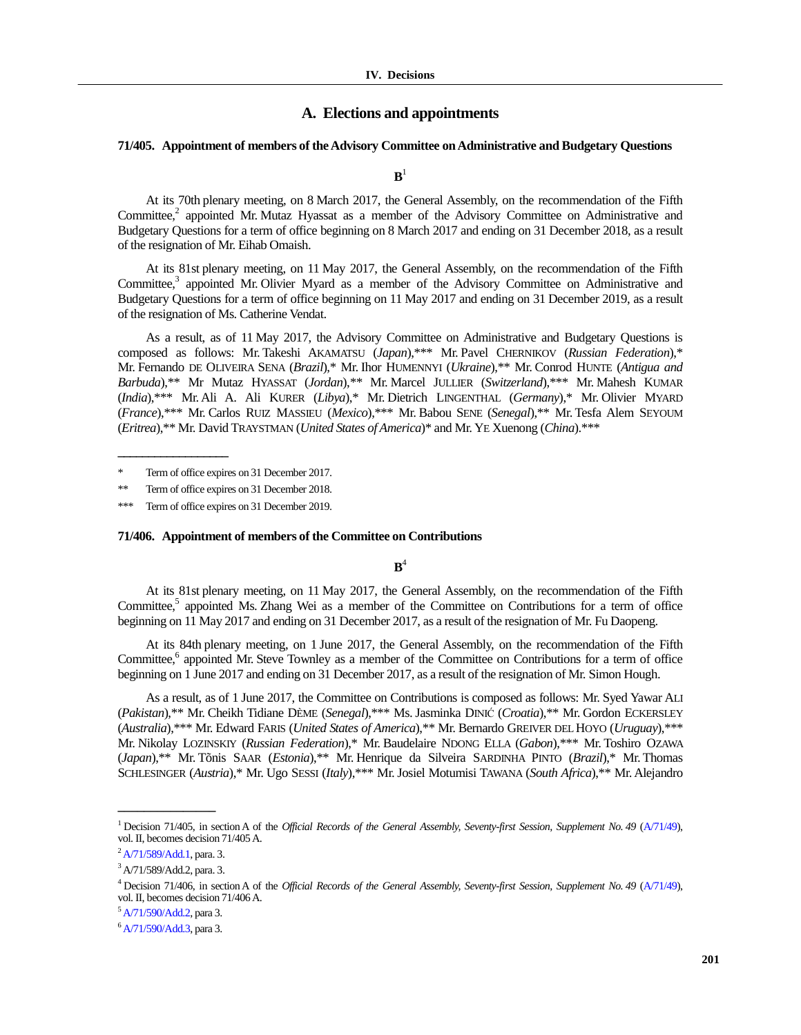## **A. Elections and appointments**

# **71/405. Appointment of members of the Advisory Committee on Administrative and Budgetary Questions**

 $\mathbf{B}^1$ 

At its 70th plenary meeting, on 8 March 2017, the General Assembly, on the recommendation of the Fifth Committee,<sup>2</sup> appointed Mr. Mutaz Hyassat as a member of the Advisory Committee on Administrative and Budgetary Questions for a term of office beginning on 8 March 2017 and ending on 31 December 2018, as a result of the resignation of Mr. Eihab Omaish.

At its 81st plenary meeting, on 11 May 2017, the General Assembly, on the recommendation of the Fifth Committee,<sup>3</sup> appointed Mr. Olivier Myard as a member of the Advisory Committee on Administrative and Budgetary Questions for a term of office beginning on 11 May 2017 and ending on 31 December 2019, as a result of the resignation of Ms. Catherine Vendat.

As a result, as of 11 May 2017, the Advisory Committee on Administrative and Budgetary Questions is composed as follows: Mr. Takeshi AKAMATSU (*Japan*),\*\*\* Mr. Pavel CHERNIKOV (*Russian Federation*),\* Mr. Fernando DE OLIVEIRA SENA (*Brazil*),\* Mr. Ihor HUMENNYI (*Ukraine*),\*\* Mr. Conrod HUNTE (*Antigua and Barbuda*),\*\* Mr Mutaz HYASSAT (*Jordan*),*\*\** Mr. Marcel JULLIER (*Switzerland*),\*\*\* Mr. Mahesh KUMAR (*India*),\*\*\* Mr. Ali A. Ali KURER (*Libya*),\* Mr. Dietrich LINGENTHAL (*Germany*),\* Mr. Olivier MYARD (*France*),\*\*\* Mr. Carlos RUIZ MASSIEU (*Mexico*),\*\*\* Mr. Babou SENE (*Senegal*),\*\* Mr. Tesfa Alem SEYOUM (*Eritrea*),\*\* Mr. David TRAYSTMAN (*United States of America*)\* and Mr. YE Xuenong (*China*).\*\*\*

**\_\_\_\_\_\_\_\_\_\_\_\_\_\_\_\_\_\_**

#### **71/406. Appointment of members of the Committee on Contributions**

 $\mathbf{B}^4$ 

At its 81st plenary meeting, on 11 May 2017, the General Assembly, on the recommendation of the Fifth Committee,<sup>5</sup> appointed Ms. Zhang Wei as a member of the Committee on Contributions for a term of office beginning on 11 May 2017 and ending on 31 December 2017, as a result of the resignation of Mr. Fu Daopeng.

At its 84th plenary meeting, on 1 June 2017, the General Assembly, on the recommendation of the Fifth Committee,<sup>6</sup> appointed Mr. Steve Townley as a member of the Committee on Contributions for a term of office beginning on 1 June 2017 and ending on 31 December 2017, as a result of the resignation of Mr. Simon Hough.

As a result, as of 1 June 2017, the Committee on Contributions is composed as follows: Mr. Syed Yawar ALI (*Pakistan*),\*\* Mr. Cheikh Tidiane DÈME (*Senegal*),\*\*\* Ms. Jasminka DINIĆ (*Croatia*),\*\* Mr. Gordon ECKERSLEY (*Australia*),\*\*\* Mr. Edward FARIS (*United States of America*),\*\* Mr. Bernardo GREIVER DEL HOYO (*Uruguay*),\*\*\* Mr. Nikolay LOZINSKIY (*Russian Federation*),\* Mr. Baudelaire NDONG ELLA (*Gabon*),\*\*\* Mr. Toshiro OZAWA (*Japan*),\*\* Mr. Tõnis SAAR (*Estonia*),\*\* Mr. Henrique da Silveira SARDINHA PINTO (*Brazil*),\* Mr. Thomas SCHLESINGER (*Austria*),\* Mr. Ugo SESSI (*Italy*),\*\*\* Mr.Josiel Motumisi TAWANA (*South Africa*),\*\* Mr. Alejandro

**\_\_\_\_\_\_\_\_\_\_\_\_\_\_\_**

<sup>\*</sup> Term of office expires on 31 December 2017.

<sup>\*\*</sup> Term of office expires on 31 December 2018.

<sup>\*\*\*</sup> Term of office expires on 31 December 2019.

<sup>&</sup>lt;sup>1</sup> Decision 71/405, in section A of the *Official Records of the General Assembly, Seventy-first Session, Supplement No. 49 [\(A/71/49\)](https://undocs.org/A/71/49)*, vol. II, becomes decision 71/405A.

<sup>&</sup>lt;sup>2</sup> [A/71/589/Add.1,](https://undocs.org/A/71/589/Add.1) para. 3.

 $3$  [A/71/589/A](http://undocs.org/A/70/539)dd.2, para. 3.

<sup>&</sup>lt;sup>4</sup> Decision 71/406, in section A of the *Official Records of the General Assembly, Seventy-first Session, Supplement No. 49 [\(A/71/49\)](https://undocs.org/A/71/49)*, vol. II, becomes decision 71/406A.

 $5$  [A/71/590/Add.2,](https://undocs.org/A/71/590/Add.2) para 3.

 $6$  [A/71/590/Add.3,](https://undocs.org/A/71/590/Add.3) para 3.